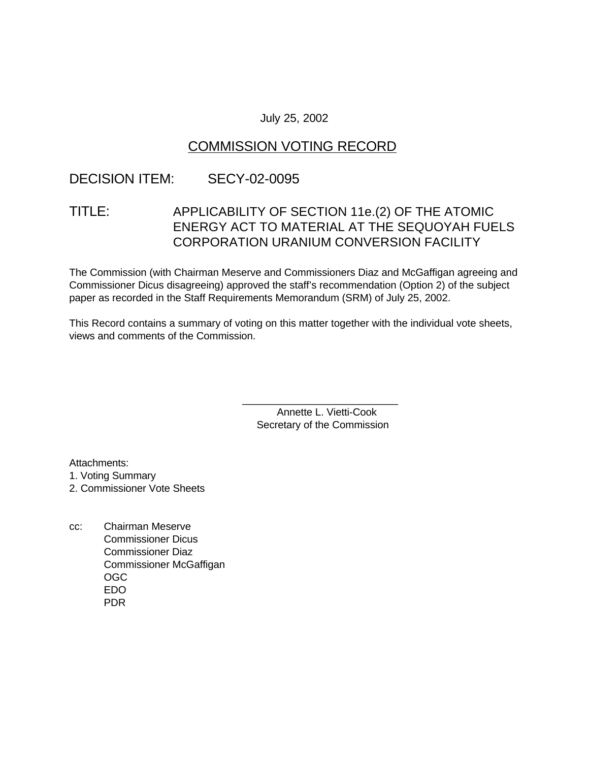### July 25, 2002

# COMMISSION VOTING RECORD

# DECISION ITEM: SECY-02-0095

# TITLE: APPLICABILITY OF SECTION 11e.(2) OF THE ATOMIC ENERGY ACT TO MATERIAL AT THE SEQUOYAH FUELS CORPORATION URANIUM CONVERSION FACILITY

The Commission (with Chairman Meserve and Commissioners Diaz and McGaffigan agreeing and Commissioner Dicus disagreeing) approved the staff's recommendation (Option 2) of the subject paper as recorded in the Staff Requirements Memorandum (SRM) of July 25, 2002.

This Record contains a summary of voting on this matter together with the individual vote sheets, views and comments of the Commission.

> Annette L. Vietti-Cook Secretary of the Commission

\_\_\_\_\_\_\_\_\_\_\_\_\_\_\_\_\_\_\_\_\_\_\_\_\_\_\_

Attachments:

1. Voting Summary

2. Commissioner Vote Sheets

cc: Chairman Meserve Commissioner Dicus Commissioner Diaz Commissioner McGaffigan OGC EDO PDR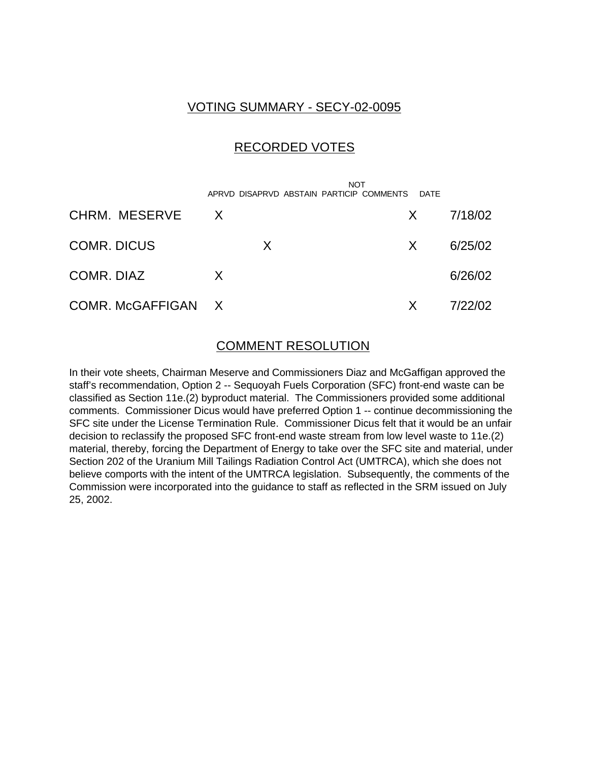### VOTING SUMMARY - SECY-02-0095

### RECORDED VOTES

|                    | <b>NOT</b><br>APRVD DISAPRVD ABSTAIN PARTICIP COMMENTS | <b>DATF</b>  |         |
|--------------------|--------------------------------------------------------|--------------|---------|
| CHRM. MESERVE      | $\mathsf{X}$                                           | X.           | 7/18/02 |
| <b>COMR. DICUS</b> | X.                                                     | $\mathsf{X}$ | 6/25/02 |
| COMR. DIAZ         | X                                                      |              | 6/26/02 |
| COMR. McGAFFIGAN X |                                                        | $\mathsf{X}$ | 7/22/02 |

### COMMENT RESOLUTION

In their vote sheets, Chairman Meserve and Commissioners Diaz and McGaffigan approved the staff's recommendation, Option 2 -- Sequoyah Fuels Corporation (SFC) front-end waste can be classified as Section 11e.(2) byproduct material. The Commissioners provided some additional comments. Commissioner Dicus would have preferred Option 1 -- continue decommissioning the SFC site under the License Termination Rule. Commissioner Dicus felt that it would be an unfair decision to reclassify the proposed SFC front-end waste stream from low level waste to 11e.(2) material, thereby, forcing the Department of Energy to take over the SFC site and material, under Section 202 of the Uranium Mill Tailings Radiation Control Act (UMTRCA), which she does not believe comports with the intent of the UMTRCA legislation. Subsequently, the comments of the Commission were incorporated into the guidance to staff as reflected in the SRM issued on July 25, 2002.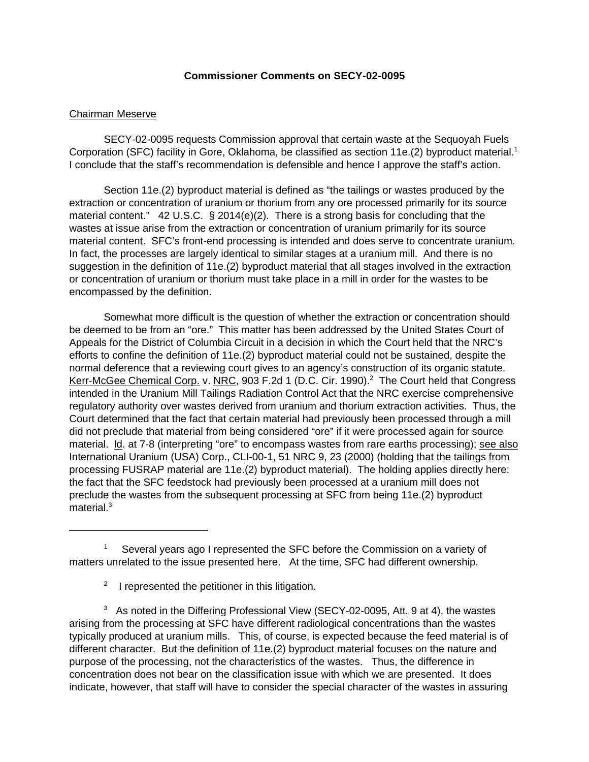#### **Commissioner Comments on SECY-02-0095**

#### Chairman Meserve

SECY-02-0095 requests Commission approval that certain waste at the Sequoyah Fuels Corporation (SFC) facility in Gore, Oklahoma, be classified as section 11e.(2) byproduct material.<sup>1</sup> I conclude that the staff's recommendation is defensible and hence I approve the staff's action.

Section 11e.(2) byproduct material is defined as "the tailings or wastes produced by the extraction or concentration of uranium or thorium from any ore processed primarily for its source material content." 42 U.S.C. § 2014(e)(2). There is a strong basis for concluding that the wastes at issue arise from the extraction or concentration of uranium primarily for its source material content. SFC's front-end processing is intended and does serve to concentrate uranium. In fact, the processes are largely identical to similar stages at a uranium mill. And there is no suggestion in the definition of 11e.(2) byproduct material that all stages involved in the extraction or concentration of uranium or thorium must take place in a mill in order for the wastes to be encompassed by the definition.

Somewhat more difficult is the question of whether the extraction or concentration should be deemed to be from an "ore." This matter has been addressed by the United States Court of Appeals for the District of Columbia Circuit in a decision in which the Court held that the NRC's efforts to confine the definition of 11e.(2) byproduct material could not be sustained, despite the normal deference that a reviewing court gives to an agency's construction of its organic statute. Kerr-McGee Chemical Corp. v. NRC, 903 F.2d 1 (D.C. Cir. 1990).<sup>2</sup> The Court held that Congress intended in the Uranium Mill Tailings Radiation Control Act that the NRC exercise comprehensive regulatory authority over wastes derived from uranium and thorium extraction activities. Thus, the Court determined that the fact that certain material had previously been processed through a mill did not preclude that material from being considered "ore" if it were processed again for source material. Id. at 7-8 (interpreting "ore" to encompass wastes from rare earths processing); see also International Uranium (USA) Corp., CLI-00-1, 51 NRC 9, 23 (2000) (holding that the tailings from processing FUSRAP material are 11e.(2) byproduct material). The holding applies directly here: the fact that the SFC feedstock had previously been processed at a uranium mill does not preclude the wastes from the subsequent processing at SFC from being 11e.(2) byproduct  $material.<sup>3</sup>$ 

<sup>2</sup> I represented the petitioner in this litigation.

 $3$  As noted in the Differing Professional View (SECY-02-0095, Att. 9 at 4), the wastes arising from the processing at SFC have different radiological concentrations than the wastes typically produced at uranium mills. This, of course, is expected because the feed material is of different character. But the definition of 11e.(2) byproduct material focuses on the nature and purpose of the processing, not the characteristics of the wastes. Thus, the difference in concentration does not bear on the classification issue with which we are presented. It does indicate, however, that staff will have to consider the special character of the wastes in assuring

<sup>1</sup> Several years ago I represented the SFC before the Commission on a variety of matters unrelated to the issue presented here. At the time, SFC had different ownership.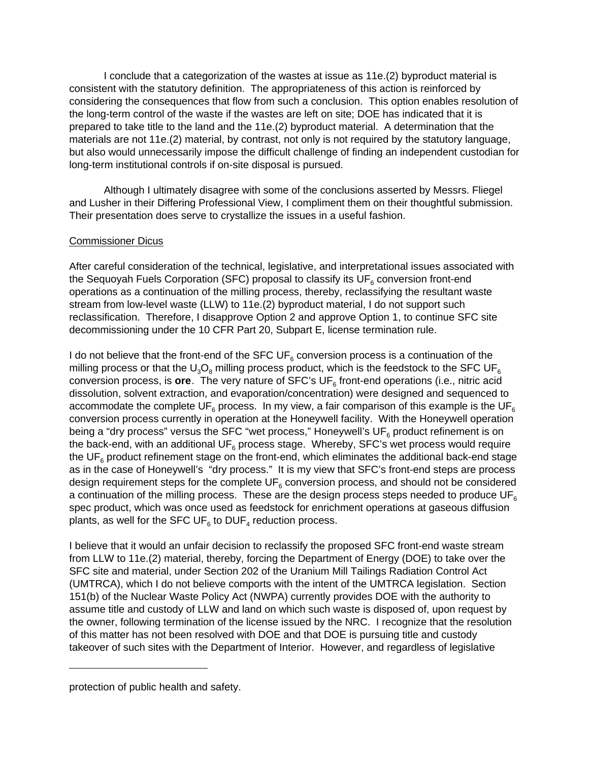I conclude that a categorization of the wastes at issue as 11e.(2) byproduct material is consistent with the statutory definition. The appropriateness of this action is reinforced by considering the consequences that flow from such a conclusion. This option enables resolution of the long-term control of the waste if the wastes are left on site; DOE has indicated that it is prepared to take title to the land and the 11e.(2) byproduct material. A determination that the materials are not 11e.(2) material, by contrast, not only is not required by the statutory language, but also would unnecessarily impose the difficult challenge of finding an independent custodian for long-term institutional controls if on-site disposal is pursued.

Although I ultimately disagree with some of the conclusions asserted by Messrs. Fliegel and Lusher in their Differing Professional View, I compliment them on their thoughtful submission. Their presentation does serve to crystallize the issues in a useful fashion.

#### Commissioner Dicus

After careful consideration of the technical, legislative, and interpretational issues associated with the Sequoyah Fuels Corporation (SFC) proposal to classify its UF $_{\rm 6}$  conversion front-end operations as a continuation of the milling process, thereby, reclassifying the resultant waste stream from low-level waste (LLW) to 11e.(2) byproduct material, I do not support such reclassification. Therefore, I disapprove Option 2 and approve Option 1, to continue SFC site decommissioning under the 10 CFR Part 20, Subpart E, license termination rule.

I do not believe that the front-end of the SFC UF $_{\rm 6}$  conversion process is a continuation of the milling process or that the  $\mathsf{U}_3\mathsf{O}_8$  milling process product, which is the feedstock to the SFC UF $_6$ conversion process, is **ore**. The very nature of SFC's UF<sub>6</sub> front-end operations (i.e., nitric acid dissolution, solvent extraction, and evaporation/concentration) were designed and sequenced to accommodate the complete UF $_{\rm 6}$  process. In my view, a fair comparison of this example is the UF $_{\rm 6}$ conversion process currently in operation at the Honeywell facility. With the Honeywell operation being a "dry process" versus the SFC "wet process," Honeywell's UF $_{\rm 6}$  product refinement is on the back-end, with an additional UF $_{\rm 6}$  process stage. Whereby, SFC's wet process would require the UF $_{\rm 6}$  product refinement stage on the front-end, which eliminates the additional back-end stage as in the case of Honeywell's "dry process." It is my view that SFC's front-end steps are process design requirement steps for the complete UF $_{\rm 6}$  conversion process, and should not be considered a continuation of the milling process. These are the design process steps needed to produce  $UF<sub>6</sub>$ spec product, which was once used as feedstock for enrichment operations at gaseous diffusion plants, as well for the SFC UF $_{\rm 6}$  to DUF $_4$  reduction process.

I believe that it would an unfair decision to reclassify the proposed SFC front-end waste stream from LLW to 11e.(2) material, thereby, forcing the Department of Energy (DOE) to take over the SFC site and material, under Section 202 of the Uranium Mill Tailings Radiation Control Act (UMTRCA), which I do not believe comports with the intent of the UMTRCA legislation. Section 151(b) of the Nuclear Waste Policy Act (NWPA) currently provides DOE with the authority to assume title and custody of LLW and land on which such waste is disposed of, upon request by the owner, following termination of the license issued by the NRC. I recognize that the resolution of this matter has not been resolved with DOE and that DOE is pursuing title and custody takeover of such sites with the Department of Interior. However, and regardless of legislative

protection of public health and safety.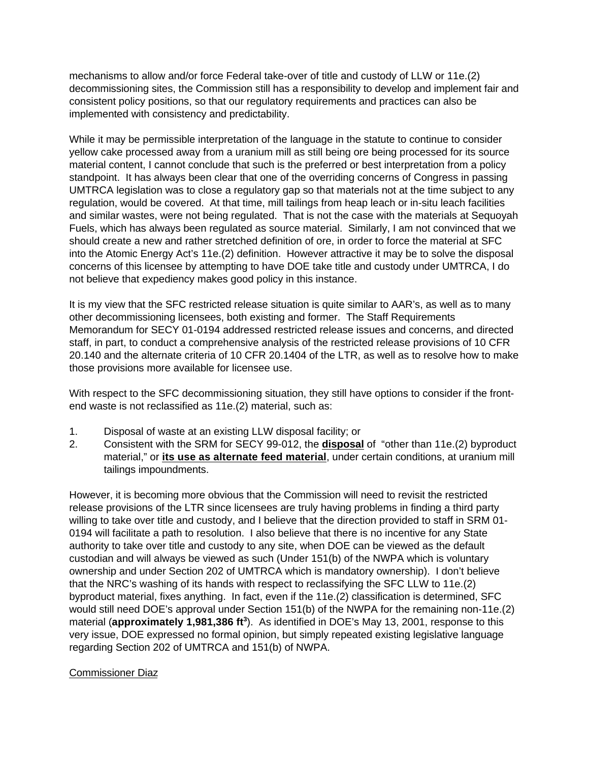mechanisms to allow and/or force Federal take-over of title and custody of LLW or 11e.(2) decommissioning sites, the Commission still has a responsibility to develop and implement fair and consistent policy positions, so that our regulatory requirements and practices can also be implemented with consistency and predictability.

While it may be permissible interpretation of the language in the statute to continue to consider yellow cake processed away from a uranium mill as still being ore being processed for its source material content, I cannot conclude that such is the preferred or best interpretation from a policy standpoint. It has always been clear that one of the overriding concerns of Congress in passing UMTRCA legislation was to close a regulatory gap so that materials not at the time subject to any regulation, would be covered. At that time, mill tailings from heap leach or in-situ leach facilities and similar wastes, were not being regulated. That is not the case with the materials at Sequoyah Fuels, which has always been regulated as source material. Similarly, I am not convinced that we should create a new and rather stretched definition of ore, in order to force the material at SFC into the Atomic Energy Act's 11e.(2) definition. However attractive it may be to solve the disposal concerns of this licensee by attempting to have DOE take title and custody under UMTRCA, I do not believe that expediency makes good policy in this instance.

It is my view that the SFC restricted release situation is quite similar to AAR's, as well as to many other decommissioning licensees, both existing and former. The Staff Requirements Memorandum for SECY 01-0194 addressed restricted release issues and concerns, and directed staff, in part, to conduct a comprehensive analysis of the restricted release provisions of 10 CFR 20.140 and the alternate criteria of 10 CFR 20.1404 of the LTR, as well as to resolve how to make those provisions more available for licensee use.

With respect to the SFC decommissioning situation, they still have options to consider if the frontend waste is not reclassified as 11e.(2) material, such as:

- 1. Disposal of waste at an existing LLW disposal facility; or
- 2. Consistent with the SRM for SECY 99-012, the **disposal** of "other than 11e.(2) byproduct material," or **its use as alternate feed material**, under certain conditions, at uranium mill tailings impoundments.

However, it is becoming more obvious that the Commission will need to revisit the restricted release provisions of the LTR since licensees are truly having problems in finding a third party willing to take over title and custody, and I believe that the direction provided to staff in SRM 01- 0194 will facilitate a path to resolution. I also believe that there is no incentive for any State authority to take over title and custody to any site, when DOE can be viewed as the default custodian and will always be viewed as such (Under 151(b) of the NWPA which is voluntary ownership and under Section 202 of UMTRCA which is mandatory ownership). I don't believe that the NRC's washing of its hands with respect to reclassifying the SFC LLW to 11e.(2) byproduct material, fixes anything. In fact, even if the 11e.(2) classification is determined, SFC would still need DOE's approval under Section 151(b) of the NWPA for the remaining non-11e.(2) material (**approximately 1,981,386 ft<sup>3</sup>** ). As identified in DOE's May 13, 2001, response to this very issue, DOE expressed no formal opinion, but simply repeated existing legislative language regarding Section 202 of UMTRCA and 151(b) of NWPA.

### Commissioner Diaz